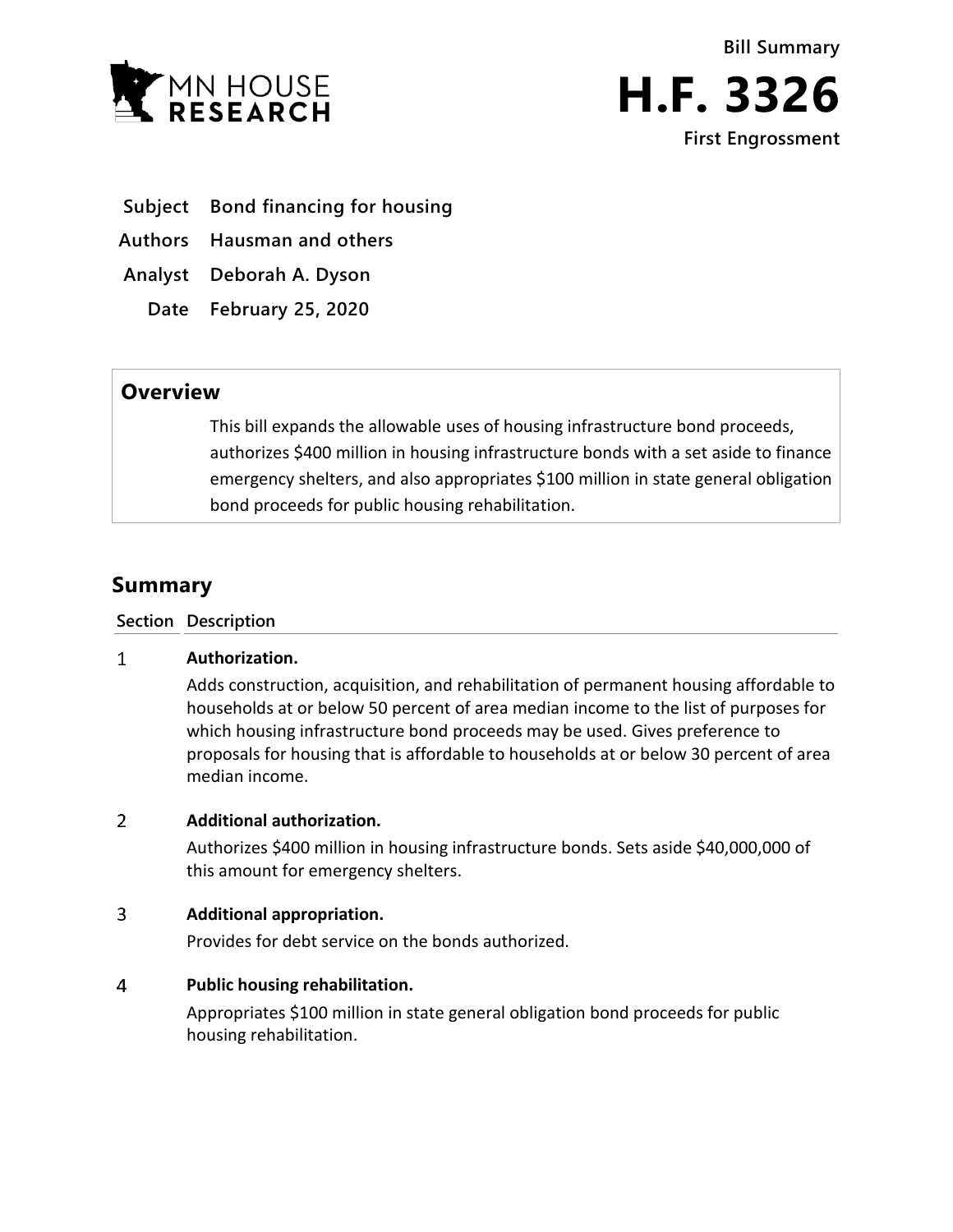



- **Subject Bond financing for housing**
- **Authors Hausman and others**

**Analyst Deborah A. Dyson**

**Date February 25, 2020**

## **Overview**

This bill expands the allowable uses of housing infrastructure bond proceeds, authorizes \$400 million in housing infrastructure bonds with a set aside to finance emergency shelters, and also appropriates \$100 million in state general obligation bond proceeds for public housing rehabilitation.

# **Summary**

**Section Description**

#### $\mathbf{1}$ **Authorization.**

Adds construction, acquisition, and rehabilitation of permanent housing affordable to households at or below 50 percent of area median income to the list of purposes for which housing infrastructure bond proceeds may be used. Gives preference to proposals for housing that is affordable to households at or below 30 percent of area median income.

#### $\overline{2}$ **Additional authorization.**

Authorizes \$400 million in housing infrastructure bonds. Sets aside \$40,000,000 of this amount for emergency shelters.

#### $\overline{3}$ **Additional appropriation.**

Provides for debt service on the bonds authorized.

### $\overline{4}$ **Public housing rehabilitation.**

Appropriates \$100 million in state general obligation bond proceeds for public housing rehabilitation.